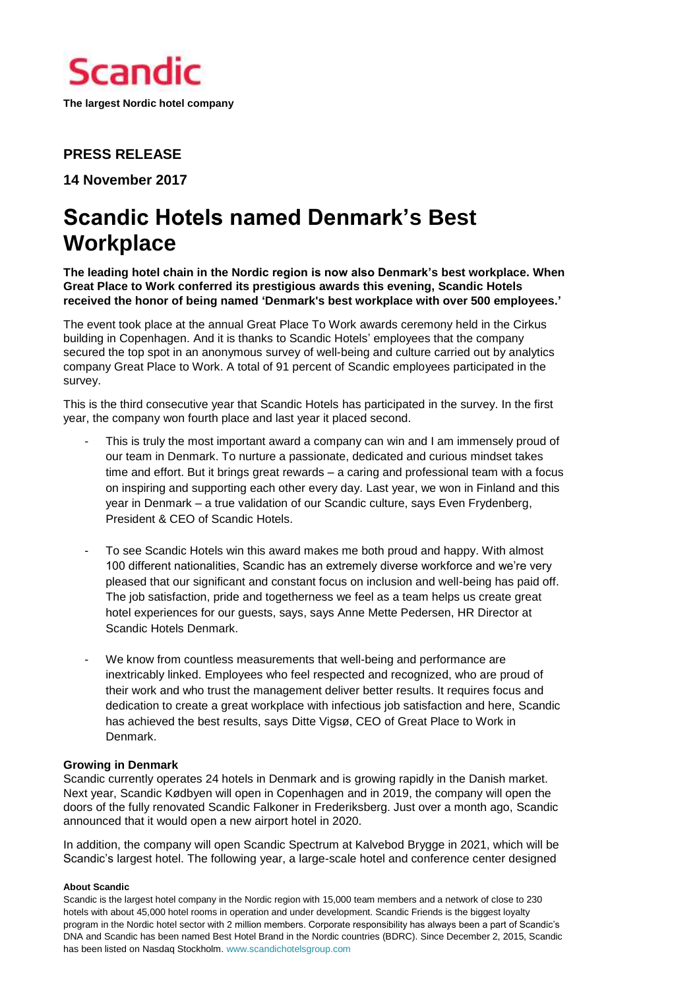

# **PRESS RELEASE**

**14 November 2017**

# **Scandic Hotels named Denmark's Best Workplace**

**The leading hotel chain in the Nordic region is now also Denmark's best workplace. When Great Place to Work conferred its prestigious awards this evening, Scandic Hotels received the honor of being named 'Denmark's best workplace with over 500 employees.'**

The event took place at the annual Great Place To Work awards ceremony held in the Cirkus building in Copenhagen. And it is thanks to Scandic Hotels' employees that the company secured the top spot in an anonymous survey of well-being and culture carried out by analytics company Great Place to Work. A total of 91 percent of Scandic employees participated in the survey.

This is the third consecutive year that Scandic Hotels has participated in the survey. In the first year, the company won fourth place and last year it placed second.

- This is truly the most important award a company can win and I am immensely proud of our team in Denmark. To nurture a passionate, dedicated and curious mindset takes time and effort. But it brings great rewards – a caring and professional team with a focus on inspiring and supporting each other every day. Last year, we won in Finland and this year in Denmark – a true validation of our Scandic culture, says Even Frydenberg, President & CEO of Scandic Hotels.
- To see Scandic Hotels win this award makes me both proud and happy. With almost 100 different nationalities, Scandic has an extremely diverse workforce and we're very pleased that our significant and constant focus on inclusion and well-being has paid off. The job satisfaction, pride and togetherness we feel as a team helps us create great hotel experiences for our guests, says, says Anne Mette Pedersen, HR Director at Scandic Hotels Denmark.
- We know from countless measurements that well-being and performance are inextricably linked. Employees who feel respected and recognized, who are proud of their work and who trust the management deliver better results. It requires focus and dedication to create a great workplace with infectious job satisfaction and here, Scandic has achieved the best results, says Ditte Vigsø, CEO of Great Place to Work in Denmark.

# **Growing in Denmark**

Scandic currently operates 24 hotels in Denmark and is growing rapidly in the Danish market. Next year, Scandic Kødbyen will open in Copenhagen and in 2019, the company will open the doors of the fully renovated Scandic Falkoner in Frederiksberg. Just over a month ago, Scandic announced that it would open a new airport hotel in 2020.

In addition, the company will open Scandic Spectrum at Kalvebod Brygge in 2021, which will be Scandic's largest hotel. The following year, a large-scale hotel and conference center designed

#### **About Scandic**

Scandic is the largest hotel company in the Nordic region with 15,000 team members and a network of close to 230 hotels with about 45,000 hotel rooms in operation and under development. Scandic Friends is the biggest loyalty program in the Nordic hotel sector with 2 million members. Corporate responsibility has always been a part of Scandic's DNA and Scandic has been named Best Hotel Brand in the Nordic countries (BDRC). Since December 2, 2015, Scandic has been listed on Nasdaq Stockholm[. www.scandichotelsgroup.com](http://www.scandichotelsgroup.com/)